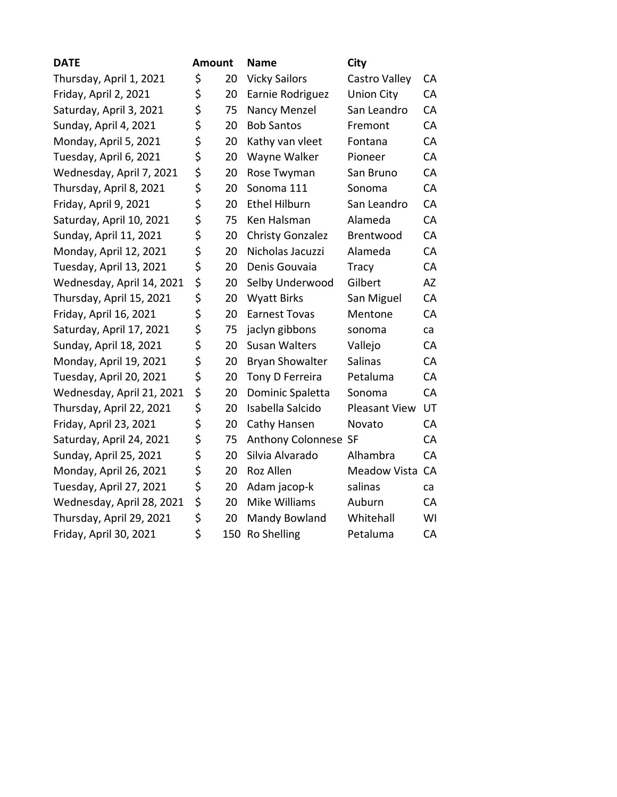| <b>DATE</b>               | Amount |     | <b>Name</b>             | City                 |           |
|---------------------------|--------|-----|-------------------------|----------------------|-----------|
| Thursday, April 1, 2021   | \$     | 20  | <b>Vicky Sailors</b>    | Castro Valley        | CA        |
| Friday, April 2, 2021     | \$     | 20  | Earnie Rodriguez        | <b>Union City</b>    | <b>CA</b> |
| Saturday, April 3, 2021   | \$     | 75  | Nancy Menzel            | San Leandro          | <b>CA</b> |
| Sunday, April 4, 2021     | \$     | 20  | <b>Bob Santos</b>       | Fremont              | CA        |
| Monday, April 5, 2021     | \$     | 20  | Kathy van vleet         | Fontana              | CA        |
| Tuesday, April 6, 2021    | \$     | 20  | Wayne Walker            | Pioneer              | CA        |
| Wednesday, April 7, 2021  | \$     | 20  | Rose Twyman             | San Bruno            | CA        |
| Thursday, April 8, 2021   | \$     | 20  | Sonoma 111              | Sonoma               | CA        |
| Friday, April 9, 2021     | \$     | 20  | <b>Ethel Hilburn</b>    | San Leandro          | CA        |
| Saturday, April 10, 2021  | \$     | 75  | Ken Halsman             | Alameda              | CA        |
| Sunday, April 11, 2021    | \$     | 20  | <b>Christy Gonzalez</b> | Brentwood            | CA        |
| Monday, April 12, 2021    | \$     | 20  | Nicholas Jacuzzi        | Alameda              | CA        |
| Tuesday, April 13, 2021   | \$     | 20  | Denis Gouvaia           | <b>Tracy</b>         | CA        |
| Wednesday, April 14, 2021 | \$     | 20  | Selby Underwood         | Gilbert              | AZ        |
| Thursday, April 15, 2021  | \$     | 20  | <b>Wyatt Birks</b>      | San Miguel           | CA        |
| Friday, April 16, 2021    | \$     | 20  | <b>Earnest Tovas</b>    | Mentone              | CA        |
| Saturday, April 17, 2021  | \$     | 75  | jaclyn gibbons          | sonoma               | ca        |
| Sunday, April 18, 2021    | \$     | 20  | <b>Susan Walters</b>    | Vallejo              | CA        |
| Monday, April 19, 2021    | \$     | 20  | <b>Bryan Showalter</b>  | Salinas              | CA        |
| Tuesday, April 20, 2021   | \$     | 20  | Tony D Ferreira         | Petaluma             | CA        |
| Wednesday, April 21, 2021 | \$     | 20  | Dominic Spaletta        | Sonoma               | CA        |
| Thursday, April 22, 2021  | \$     | 20  | Isabella Salcido        | <b>Pleasant View</b> | UT        |
| Friday, April 23, 2021    | \$     | 20  | Cathy Hansen            | Novato               | CA        |
| Saturday, April 24, 2021  | \$     | 75  | Anthony Colonnese SF    |                      | CA        |
| Sunday, April 25, 2021    | \$     | 20  | Silvia Alvarado         | Alhambra             | CA        |
| Monday, April 26, 2021    | \$     | 20  | Roz Allen               | Meadow Vista         | CA        |
| Tuesday, April 27, 2021   | \$     | 20  | Adam jacop-k            | salinas              | ca        |
| Wednesday, April 28, 2021 | \$     | 20  | Mike Williams           | Auburn               | CA        |
| Thursday, April 29, 2021  | \$     | 20  | Mandy Bowland           | Whitehall            | WI        |
| Friday, April 30, 2021    | \$     | 150 | Ro Shelling             | Petaluma             | CA        |